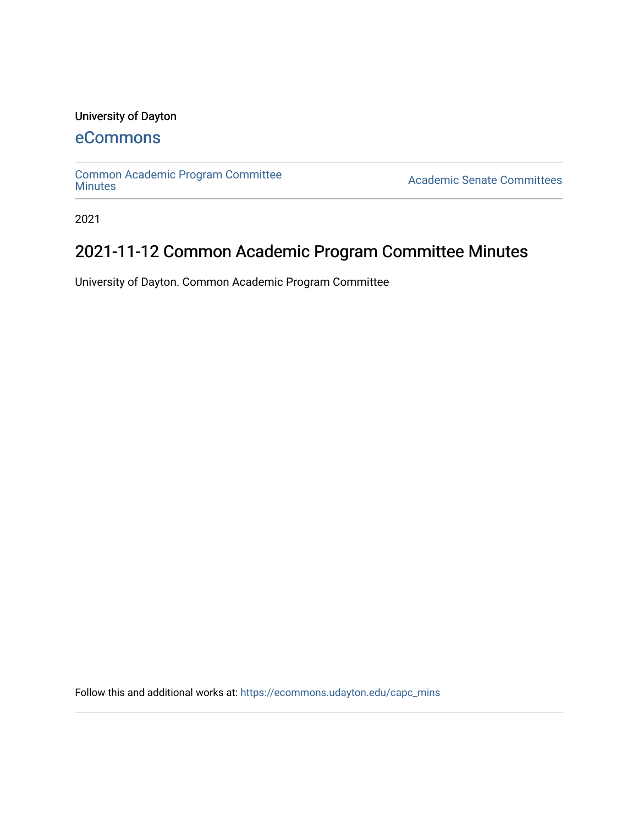### University of Dayton

## [eCommons](https://ecommons.udayton.edu/)

[Common Academic Program Committee](https://ecommons.udayton.edu/capc_mins) 

**Academic Senate Committees** 

2021

# 2021-11-12 Common Academic Program Committee Minutes

University of Dayton. Common Academic Program Committee

Follow this and additional works at: [https://ecommons.udayton.edu/capc\\_mins](https://ecommons.udayton.edu/capc_mins?utm_source=ecommons.udayton.edu%2Fcapc_mins%2F172&utm_medium=PDF&utm_campaign=PDFCoverPages)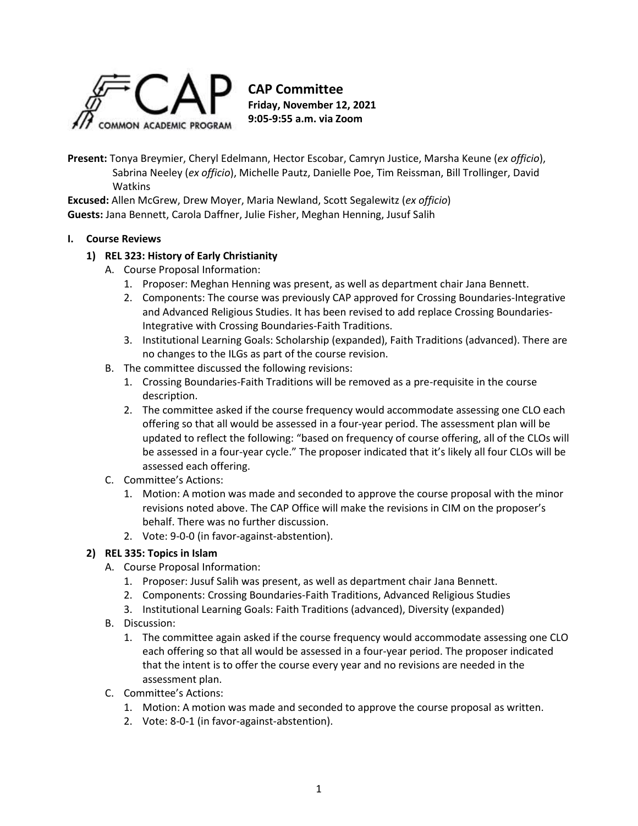

**Present:** Tonya Breymier, Cheryl Edelmann, Hector Escobar, Camryn Justice, Marsha Keune (*ex officio*), Sabrina Neeley (*ex officio*), Michelle Pautz, Danielle Poe, Tim Reissman, Bill Trollinger, David **Watkins** 

**Excused:** Allen McGrew, Drew Moyer, Maria Newland, Scott Segalewitz (*ex officio*) **Guests:** Jana Bennett, Carola Daffner, Julie Fisher, Meghan Henning, Jusuf Salih

#### **I. Course Reviews**

#### **1) REL 323: History of Early Christianity**

- A. Course Proposal Information:
	- 1. Proposer: Meghan Henning was present, as well as department chair Jana Bennett.
	- 2. Components: The course was previously CAP approved for Crossing Boundaries-Integrative and Advanced Religious Studies. It has been revised to add replace Crossing Boundaries-Integrative with Crossing Boundaries-Faith Traditions.
	- 3. Institutional Learning Goals: Scholarship (expanded), Faith Traditions (advanced). There are no changes to the ILGs as part of the course revision.
- B. The committee discussed the following revisions:
	- 1. Crossing Boundaries-Faith Traditions will be removed as a pre-requisite in the course description.
	- 2. The committee asked if the course frequency would accommodate assessing one CLO each offering so that all would be assessed in a four-year period. The assessment plan will be updated to reflect the following: "based on frequency of course offering, all of the CLOs will be assessed in a four-year cycle." The proposer indicated that it's likely all four CLOs will be assessed each offering.
- C. Committee's Actions:
	- 1. Motion: A motion was made and seconded to approve the course proposal with the minor revisions noted above. The CAP Office will make the revisions in CIM on the proposer's behalf. There was no further discussion.
	- 2. Vote: 9-0-0 (in favor-against-abstention).

#### **2) REL 335: Topics in Islam**

- A. Course Proposal Information:
	- 1. Proposer: Jusuf Salih was present, as well as department chair Jana Bennett.
	- 2. Components: Crossing Boundaries-Faith Traditions, Advanced Religious Studies
	- 3. Institutional Learning Goals: Faith Traditions (advanced), Diversity (expanded)
- B. Discussion:
	- 1. The committee again asked if the course frequency would accommodate assessing one CLO each offering so that all would be assessed in a four-year period. The proposer indicated that the intent is to offer the course every year and no revisions are needed in the assessment plan.
- C. Committee's Actions:
	- 1. Motion: A motion was made and seconded to approve the course proposal as written.
	- 2. Vote: 8-0-1 (in favor-against-abstention).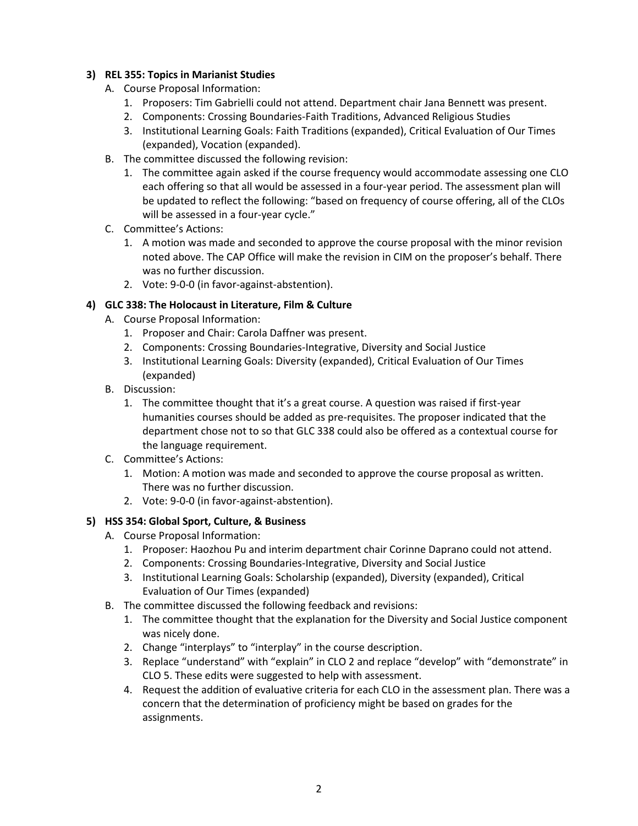#### **3) REL 355: Topics in Marianist Studies**

- A. Course Proposal Information:
	- 1. Proposers: Tim Gabrielli could not attend. Department chair Jana Bennett was present.
	- 2. Components: Crossing Boundaries-Faith Traditions, Advanced Religious Studies
	- 3. Institutional Learning Goals: Faith Traditions (expanded), Critical Evaluation of Our Times (expanded), Vocation (expanded).
- B. The committee discussed the following revision:
	- 1. The committee again asked if the course frequency would accommodate assessing one CLO each offering so that all would be assessed in a four-year period. The assessment plan will be updated to reflect the following: "based on frequency of course offering, all of the CLOs will be assessed in a four-year cycle."
- C. Committee's Actions:
	- 1. A motion was made and seconded to approve the course proposal with the minor revision noted above. The CAP Office will make the revision in CIM on the proposer's behalf. There was no further discussion.
	- 2. Vote: 9-0-0 (in favor-against-abstention).

#### **4) GLC 338: The Holocaust in Literature, Film & Culture**

- A. Course Proposal Information:
	- 1. Proposer and Chair: Carola Daffner was present.
	- 2. Components: Crossing Boundaries-Integrative, Diversity and Social Justice
	- 3. Institutional Learning Goals: Diversity (expanded), Critical Evaluation of Our Times (expanded)
- B. Discussion:
	- 1. The committee thought that it's a great course. A question was raised if first-year humanities courses should be added as pre-requisites. The proposer indicated that the department chose not to so that GLC 338 could also be offered as a contextual course for the language requirement.
- C. Committee's Actions:
	- 1. Motion: A motion was made and seconded to approve the course proposal as written. There was no further discussion.
	- 2. Vote: 9-0-0 (in favor-against-abstention).

#### **5) HSS 354: Global Sport, Culture, & Business**

- A. Course Proposal Information:
	- 1. Proposer: Haozhou Pu and interim department chair Corinne Daprano could not attend.
	- 2. Components: Crossing Boundaries-Integrative, Diversity and Social Justice
	- 3. Institutional Learning Goals: Scholarship (expanded), Diversity (expanded), Critical Evaluation of Our Times (expanded)
- B. The committee discussed the following feedback and revisions:
	- 1. The committee thought that the explanation for the Diversity and Social Justice component was nicely done.
	- 2. Change "interplays" to "interplay" in the course description.
	- 3. Replace "understand" with "explain" in CLO 2 and replace "develop" with "demonstrate" in CLO 5. These edits were suggested to help with assessment.
	- 4. Request the addition of evaluative criteria for each CLO in the assessment plan. There was a concern that the determination of proficiency might be based on grades for the assignments.